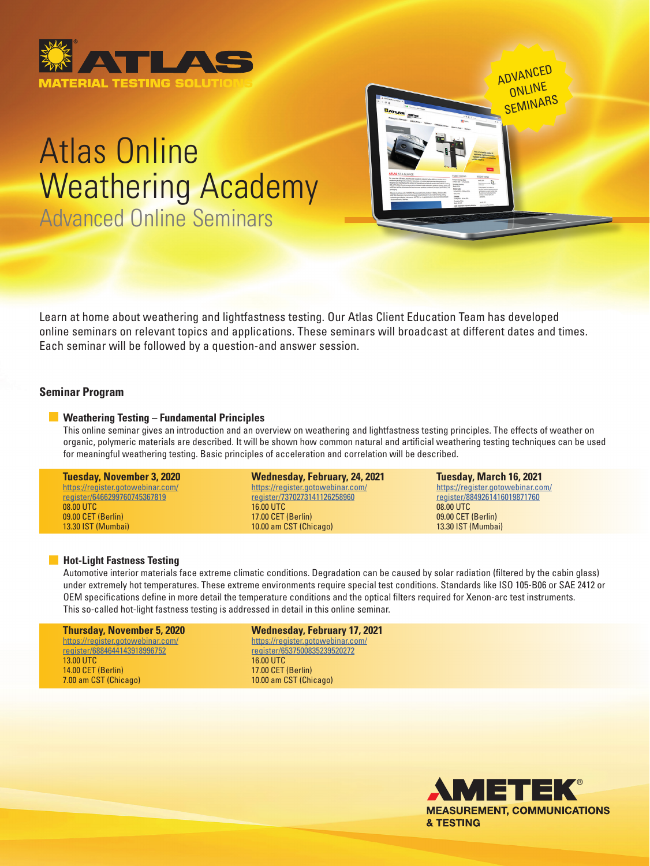

# Atlas Online Weathering Academy Advanced Online Seminars

Learn at home about weathering and lightfastness testing. Our Atlas Client Education Team has developed online seminars on relevant topics and applications. These seminars will broadcast at different dates and times. Each seminar will be followed by a question-and answer session.

## **Seminar Program**

## **Weathering Testing – Fundamental Principles**

 This online seminar gives an introduction and an overview on weathering and lightfastness testing principles. The effects of weather on organic, polymeric materials are described. It will be shown how common natural and artificial weathering testing techniques can be used for meaningful weathering testing. Basic principles of acceleration and correlation will be described.

#### **Tuesday, November 3, 2020** [https://register.gotowebinar.com/](https://register.gotowebinar.com/register/6466299760745367819) [register/6466299760745367819](https://register.gotowebinar.com/register/6466299760745367819) 08.00 UTC

09.00 CET (Berlin) 13.30 IST (Mumbai)

#### **Wednesday, February, 24, 2021** [https://register.gotowebinar.com/](https://register.gotowebinar.com/register/7370273141126258960)

[register/7370273141126258960](https://register.gotowebinar.com/register/7370273141126258960) 16.00 UTC 17.00 CET (Berlin) 10.00 am CST (Chicago)

#### **Tuesday, March 16, 2021**

ADVANCED ONLINE **SEMINARS** 

[https://register.gotowebinar.com/](https://register.gotowebinar.com/register/8849261416019871760) [register/8849261416019871760](https://register.gotowebinar.com/register/8849261416019871760) 08.00 UTC 09.00 CET (Berlin) 13.30 IST (Mumbai)

## **Hot-Light Fastness Testing**

 Automotive interior materials face extreme climatic conditions. Degradation can be caused by solar radiation (filtered by the cabin glass) under extremely hot temperatures. These extreme environments require special test conditions. Standards like ISO 105-B06 or SAE 2412 or OEM specifications define in more detail the temperature conditions and the optical filters required for Xenon-arc test instruments. This so-called hot-light fastness testing is addressed in detail in this online seminar.

## **Thursday, November 5, 2020**

[https://register.gotowebinar.com/](https://register.gotowebinar.com/register/6884644143918996752) [register/6884644143918996752](https://register.gotowebinar.com/register/6884644143918996752) 13.00 UTC 14.00 CET (Berlin) 7.00 am CST (Chicago)

**Wednesday, February 17, 2021** [https://register.gotowebinar.com/](https://register.gotowebinar.com/register/6537500835239520272) [register/6537500835239520272](https://register.gotowebinar.com/register/6537500835239520272) 16.00 UTC 17.00 CET (Berlin) 10.00 am CST (Chicago)